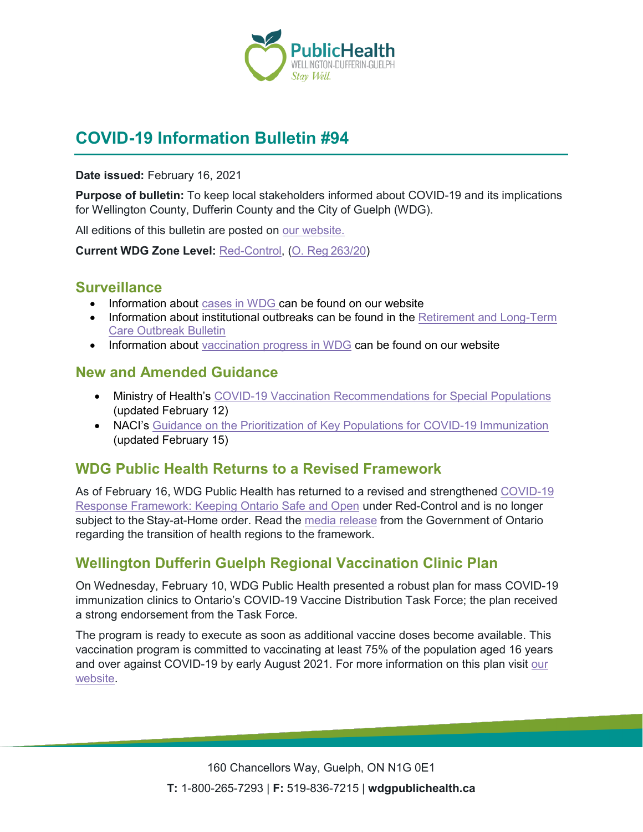

# **COVID-19 Information Bulletin #94**

**Date issued:** February 16, 2021

**Purpose of bulletin:** To keep local stakeholders informed about COVID-19 and its implications for Wellington County, Dufferin County and the City of Guelph (WDG).

All editions of this bulletin are posted on [our website.](https://www.wdgpublichealth.ca/your-health/covid-19-information-workplaces-and-living-spaces/community-stakeholder-bulletins)

**Current WDG Zone Level:** [Red-Control,](https://www.ontario.ca/page/covid-19-response-framework-keeping-ontario-safe-and-open#control) ([O. Reg 263/20](https://www.ontario.ca/laws/regulation/200263))

#### **Surveillance**

- Information about [cases in WDG](https://wdgpublichealth.ca/your-health/covid-19-information-public/status-cases-wdg) can be found on our website
- Information about institutional outbreaks can be found in the Retirement and Long-Term [Care Outbreak Bulletin](https://wdgpublichealth.ca/node/1542)
- Information about [vaccination progress](https://www.wdgpublichealth.ca/your-health/covid-19-information-public/covid-19-vaccine-information-public) in WDG can be found on our website

### **New and Amended Guidance**

- Ministry of Health's [COVID-19 Vaccination Recommendations for Special](http://www.health.gov.on.ca/en/pro/programs/publichealth/coronavirus/docs/vaccine/COVID-19_vaccination_recommendations_special_populations.pdf) Populations (updated February 12)
- NACI's [Guidance on the Prioritization of Key Populations for COVID-19 Immunization](https://www.canada.ca/en/public-health/services/immunization/national-advisory-committee-on-immunization-naci/guidance-prioritization-key-populations-covid-19-vaccination.html?hq_e=el&hq_m=2177670&hq_l=1&hq_v=bc9a41edd4) (updated February 15)

### **WDG Public Health Returns to a Revised Framework**

As of February 16, WDG Public Health has returned to a revised and strengthened [COVID-19](https://www.ontario.ca/page/covid-19-response-framework-keeping-ontario-safe-and-open#control)  [Response Framework: Keeping Ontario Safe and Open](https://www.ontario.ca/page/covid-19-response-framework-keeping-ontario-safe-and-open#control) under Red-Control and is no longer subject to the Stay-at-Home order. Read the [media release](https://news.ontario.ca/en/release/60339/ontario-returning-27-public-health-regions-to-strengthened-covid-19-response-framework) from the Government of Ontario regarding the transition of health regions to the framework.

## **Wellington Dufferin Guelph Regional Vaccination Clinic Plan**

On Wednesday, February 10, WDG Public Health presented a robust plan for mass COVID-19 immunization clinics to Ontario's COVID-19 Vaccine Distribution Task Force; the plan received a strong endorsement from the Task Force.

The program is ready to execute as soon as additional vaccine doses become available. This vaccination program is committed to vaccinating at least 75% of the population aged 16 years and over against COVID-19 by early August 2021. For more information on this plan visit our [website.](https://www.wdgpublichealth.ca/news/wellington-dufferin-guelph-regional-vaccination-clinic-plan-announced)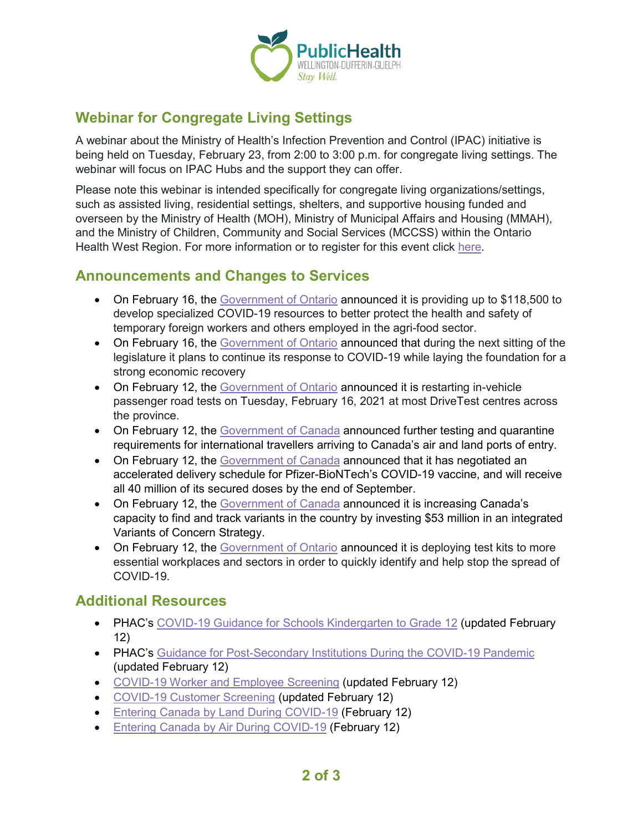

## **Webinar for Congregate Living Settings**

A webinar about the Ministry of Health's Infection Prevention and Control (IPAC) initiative is being held on Tuesday, February 23, from 2:00 to 3:00 p.m. for congregate living settings. The webinar will focus on IPAC Hubs and the support they can offer.

Please note this webinar is intended specifically for congregate living organizations/settings, such as assisted living, residential settings, shelters, and supportive housing funded and overseen by the Ministry of Health (MOH), Ministry of Municipal Affairs and Housing (MMAH), and the Ministry of Children, Community and Social Services (MCCSS) within the Ontario Health West Region. For more information or to register for this event click [here.](https://www.eventbrite.ca/e/infection-prevention-control-hubs-congregate-living-settings-webinar-tickets-141482565161)

#### **Announcements and Changes to Services**

- On February 16, the [Government of Ontario](https://news.ontario.ca/en/release/60353/ontario-improving-farm-safety-for-agri-food-workers) announced it is providing up to \$118,500 to develop specialized COVID-19 resources to better protect the health and safety of temporary foreign workers and others employed in the agri-food sector.
- On February 16, the [Government of Ontario](https://news.ontario.ca/en/release/60351/ontario-continues-unprecedented-covid-19-response-during-upcoming-legislative-session) announced that during the next sitting of the legislature it plans to continue its response to COVID-19 while laying the foundation for a strong economic recovery
- On February 12, the [Government of Ontario](https://news.ontario.ca/en/release/60340/ontario-restarting-passenger-road-tests-in-most-drivetest-centres-across-the-province) announced it is restarting in-vehicle passenger road tests on Tuesday, February 16, 2021 at most DriveTest centres across the province.
- On February 12, the [Government of Canada](https://www.canada.ca/en/public-health/news/2021/02/government-of-canada-expands-restrictions-to-international-travel-by-land-and-air.html) announced further testing and quarantine requirements for international travellers arriving to Canada's air and land ports of entry.
- On February 12, the [Government of Canada](https://www.canada.ca/en/public-services-procurement/news/2021/02/canada-negotiates-accelerated-delivery-schedule-for-pfizer-biontechs-covid-19-vaccine.html) announced that it has negotiated an accelerated delivery schedule for Pfizer-BioNTech's COVID-19 vaccine, and will receive all 40 million of its secured doses by the end of September.
- On February 12, the [Government of Canada](https://www.canada.ca/en/public-health/news/2021/02/government-of-canada-invests-53-million-to-address-covid-19-virus-variants-of-concern.html) announced it is increasing Canada's capacity to find and track variants in the country by investing \$53 million in an integrated Variants of Concern Strategy.
- On February 12, the [Government of Ontario](https://news.ontario.ca/en/release/60337/ontario-deploys-rapid-tests-to-more-essential-workplaces-and-settings) announced it is deploying test kits to more essential workplaces and sectors in order to quickly identify and help stop the spread of COVID-19.

### **Additional Resources**

- PHAC's COVID-19 Guidance for [Schools Kindergarten to Grade 12](https://www.canada.ca/en/public-health/services/diseases/2019-novel-coronavirus-infection/health-professionals/guidance-schools-childcare-programs.html) (updated February 12)
- PHAC's [Guidance for Post-Secondary Institutions During the COVID-19 Pandemic](https://www.canada.ca/en/public-health/services/diseases/2019-novel-coronavirus-infection/guidance-documents/covid-19-guidance-post-secondary-institutions-during-pandemic.html) (updated February 12)
- [COVID-19 Worker and Employee Screening](https://covid-19.ontario.ca/screening/worker/) (updated February 12)
- [COVID-19 Customer Screening](https://covid-19.ontario.ca/screening/customer/) (updated February 12)
- [Entering Canada by Land During COVID-19](https://www.canada.ca/en/public-health/services/diseases/2019-novel-coronavirus-infection/awareness-resources/entering-canada-covid-19-land.html) (February 12)
- [Entering Canada by Air During COVID-19](https://www.canada.ca/en/public-health/services/diseases/2019-novel-coronavirus-infection/awareness-resources/entering-canada-covid-19.html) (February 12)